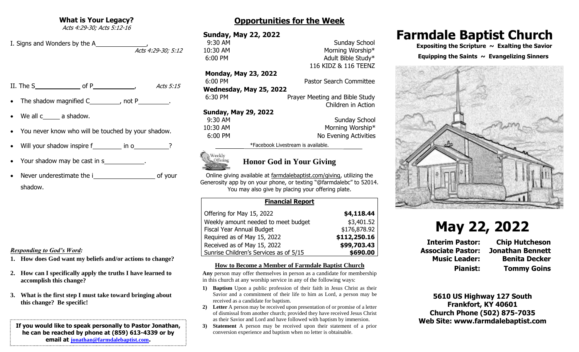**What is Your Legacy?**

Acts 4:29-30; Acts 5:12-16

I. Signs and Wonders by the A , Acts 4:29-30; 5:12

II. The S of P  $\overline{P}$  Acts 5:15

- The shadow magnified  $C_$  , not P  $\qquad \qquad$  .
- We all  $c_$  a shadow.
- You never know who will be touched by your shadow.
- Will your shadow inspire f\_\_\_\_\_\_\_\_ in o\_\_\_\_\_\_\_\_\_\_\_?
- Your shadow may be cast in s
- Never underestimate the i of your shadow.

## *Responding to God's Word:*

- **1. How does God want my beliefs and/or actions to change?**
- **2. How can I specifically apply the truths I have learned to accomplish this change?**
- **3. What is the first step I must take toward bringing about this change? Be specific!**

## **If you would like to speak personally to Pastor Jonathan, he can be reached by phone at (859) 613-4339 or by email at [jonathan@farmdalebaptist.com](mailto:jonathan@farmdalebaptist.com).**

# **Opportunities for the Week**

# **Sunday, May 22, 2022**

**9:30 AM** Sunday School 10:30 AM Morning Worship\* 6:00 PM Adult Bible Study\*

**Monday, May 23, 2022**

6:00 PM Pastor Search Committee **Wednesday, May 25, 2022** 6:30 PM Prayer Meeting and Bible Study Children in Action

116 KIDZ & 116 TEENZ

## **Sunday, May 29, 2022**

| 9:30 AM  | <b>Sunday School</b>  |
|----------|-----------------------|
| 10:30 AM | Morning Worship*      |
| 6:00 PM  | No Evening Activities |

\*Facebook Livestream is available.



## **Honor God in Your Giving**

Online giving available at farmdalebaptist.com/giving, utilizing the Generosity app by on your phone, or texting "@farmdalebc" to 52014. You may also give by placing your offering plate.

## **Financial Report**

| Offering for May 15, 2022              | \$4,118.44   |
|----------------------------------------|--------------|
| Weekly amount needed to meet budget    | \$3,401.52   |
| Fiscal Year Annual Budget              | \$176,878.92 |
| Required as of May 15, 2022            | \$112,250.16 |
| Received as of May 15, 2022            | \$99,703.43  |
| Sunrise Children's Services as of 5/15 | \$690.00     |

## **How to Become a Member of Farmdale Baptist Church**

**Any** person may offer themselves in person as a candidate for membership in this church at any worship service in any of the following ways:

- **1) Baptism** Upon a public profession of their faith in Jesus Christ as their Savior and a commitment of their life to him as Lord, a person may be received as a candidate for baptism.
- **2) Letter** A person may be received upon presentation of or promise of a letter of dismissal from another church; provided they have received Jesus Christ as their Savior and Lord and have followed with baptism by immersion.
- **3) Statement** A person may be received upon their statement of a prior conversion experience and baptism when no letter is obtainable.

# **Farmdale Baptist Church**

 **Expositing the Scripture ~ Exalting the Savior**

#### Equipping the Saints  $\sim$  Evangelizing Sinners



# **May 22, 2022**

**Interim Pastor: Chip Hutcheson Associate Pastor: Jonathan Bennett Music Leader: Benita Decker Pianist: Tommy Goins**

**5610 US Highway 127 South Frankfort, KY 40601 Church Phone (502) 875-7035 Web Site: www.farmdalebaptist.com**